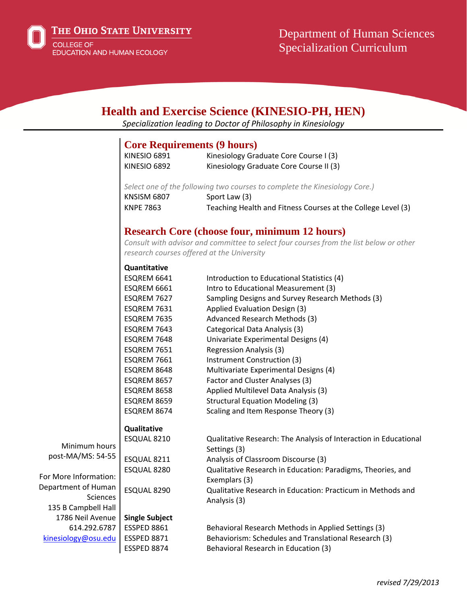

# **Health and Exercise Science (KINESIO-PH, HEN)**

*Specialization leading to Doctor of Philosophy in Kinesiology*

### **Core Requirements (9 hours)**

| KINESIO 6891 | Kinesiology Graduate Core Course I (3)  |
|--------------|-----------------------------------------|
| KINESIO 6892 | Kinesiology Graduate Core Course II (3) |

*Select one of the following two courses to complete the Kinesiology Core.)* KNSISM 6807 Sport Law (3) KNPE 7863 Teaching Health and Fitness Courses at the College Level (3)

# **Research Core (choose four, minimum 12 hours)**

*Consult with advisor and committee to select four courses from the list below or other research courses offered at the University*

#### **Quantitative**

|                       | ESQREM 6641           | Introduction to Educational Statistics (4)                       |
|-----------------------|-----------------------|------------------------------------------------------------------|
|                       | ESQREM 6661           | Intro to Educational Measurement (3)                             |
|                       | ESQREM 7627           | Sampling Designs and Survey Research Methods (3)                 |
|                       | ESQREM 7631           | Applied Evaluation Design (3)                                    |
|                       | ESQREM 7635           | Advanced Research Methods (3)                                    |
|                       | ESQREM 7643           | Categorical Data Analysis (3)                                    |
|                       | ESQREM 7648           | Univariate Experimental Designs (4)                              |
|                       | ESQREM 7651           | <b>Regression Analysis (3)</b>                                   |
|                       | ESQREM 7661           | Instrument Construction (3)                                      |
|                       | ESQREM 8648           | Multivariate Experimental Designs (4)                            |
|                       | ESQREM 8657           | Factor and Cluster Analyses (3)                                  |
|                       | ESQREM 8658           | Applied Multilevel Data Analysis (3)                             |
|                       | ESQREM 8659           | <b>Structural Equation Modeling (3)</b>                          |
|                       | ESQREM 8674           | Scaling and Item Response Theory (3)                             |
|                       | Qualitative           |                                                                  |
|                       | ESQUAL 8210           | Qualitative Research: The Analysis of Interaction in Educational |
| Minimum hours         |                       | Settings (3)                                                     |
| post-MA/MS: 54-55     | ESQUAL 8211           | Analysis of Classroom Discourse (3)                              |
|                       | ESQUAL 8280           | Qualitative Research in Education: Paradigms, Theories, and      |
| For More Information: |                       | Exemplars (3)                                                    |
| Department of Human   | ESQUAL 8290           | Qualitative Research in Education: Practicum in Methods and      |
| <b>Sciences</b>       |                       | Analysis (3)                                                     |
| 135 B Campbell Hall   |                       |                                                                  |
| 1786 Neil Avenue      | <b>Single Subject</b> |                                                                  |
| 614.292.6787          | ESSPED 8861           | Behavioral Research Methods in Applied Settings (3)              |
| kinesiology@osu.edu   | <b>ESSPED 8871</b>    | Behaviorism: Schedules and Translational Research (3)            |
|                       | ESSPED 8874           | Behavioral Research in Education (3)                             |